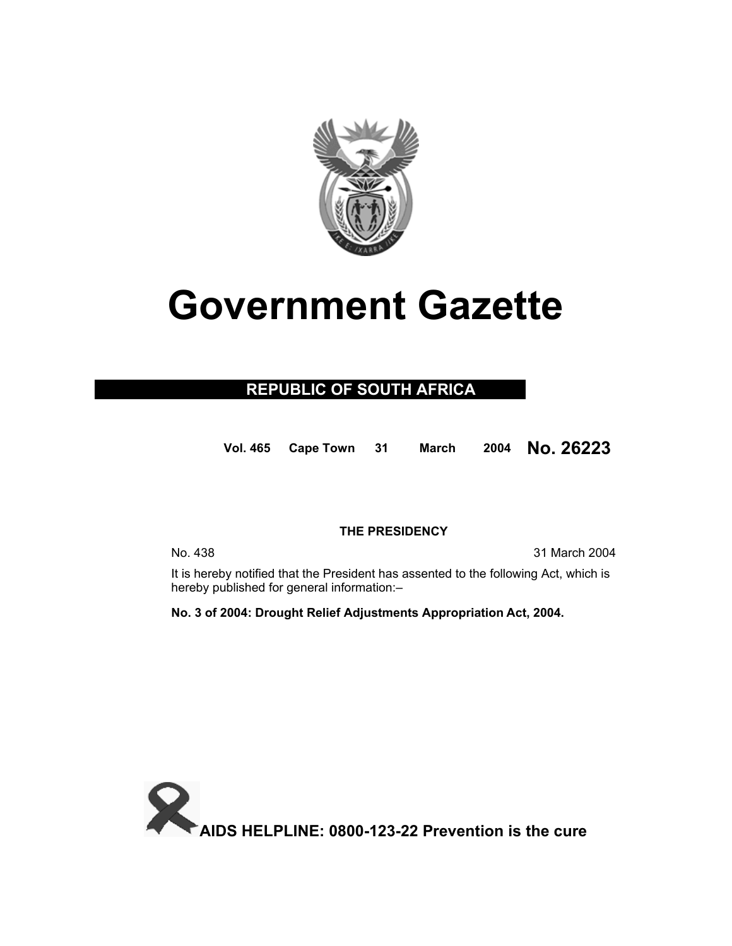

# **Government Gazette**

### **REPUBLIC OF SOUTH AFRICA**

**Vol. 465 Cape Town 31 March 2004 No. 26223**

### **THE PRESIDENCY**

No. 438 31 March 2004

 It is hereby notified that the President has assented to the following Act, which is hereby published for general information:–

**No. 3 of 2004: Drought Relief Adjustments Appropriation Act, 2004.**